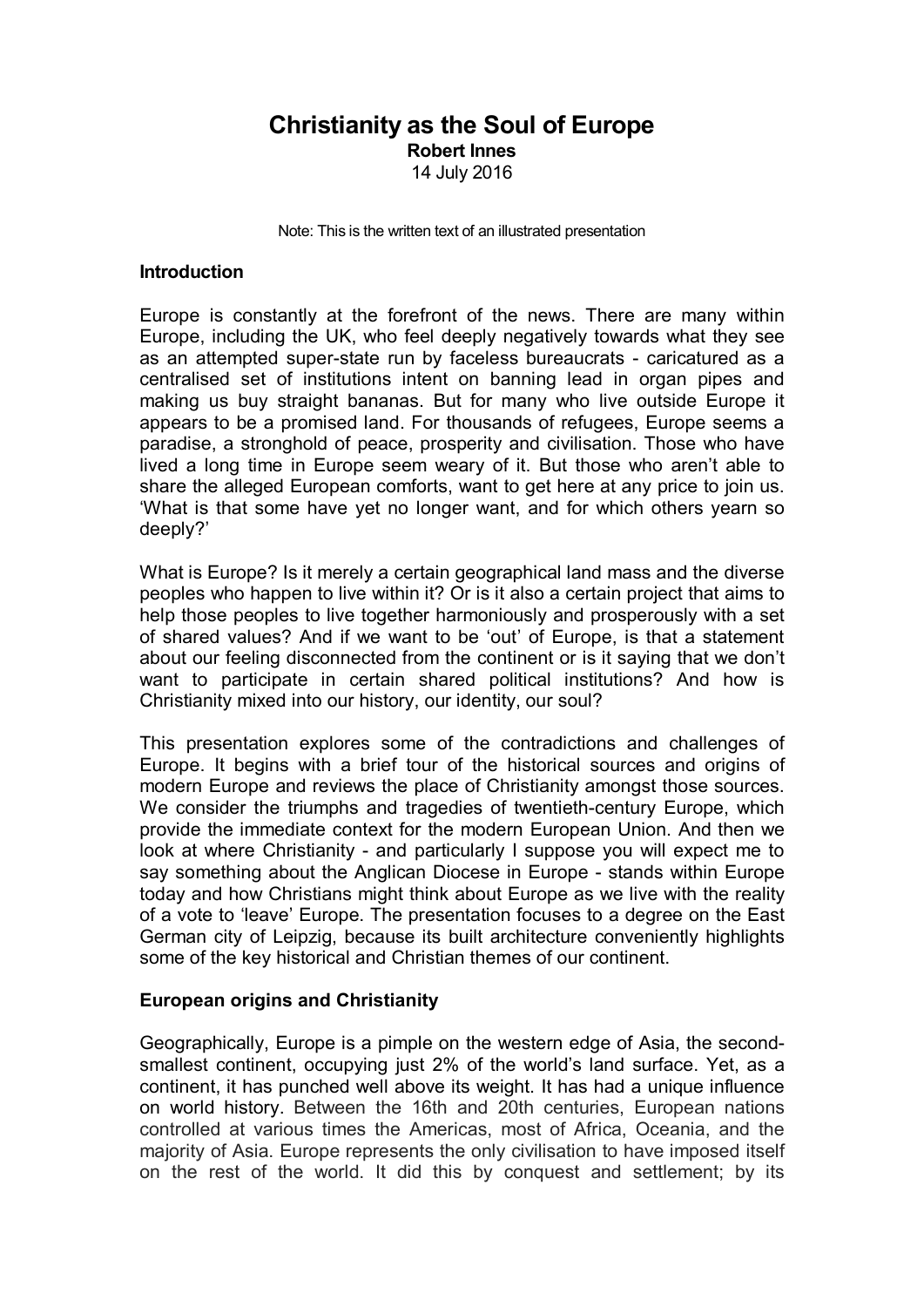# **Christianity as the Soul of Europe Robert Innes** 14 July 2016

Note: This is the written text of an illustrated presentation

#### **Introduction**

Europe is constantly at the forefront of the news. There are many within Europe, including the UK, who feel deeply negatively towards what they see as an attempted super-state run by faceless bureaucrats - caricatured as a centralised set of institutions intent on banning lead in organ pipes and making us buy straight bananas. But for many who live outside Europe it appears to be a promised land. For thousands of refugees, Europe seems a paradise, a stronghold of peace, prosperity and civilisation. Those who have lived a long time in Europe seem weary of it. But those who aren't able to share the alleged European comforts, want to get here at any price to join us. 'What is that some have yet no longer want, and for which others yearn so deeply?'

What is Europe? Is it merely a certain geographical land mass and the diverse peoples who happen to live within it? Or is it also a certain project that aims to help those peoples to live together harmoniously and prosperously with a set of shared values? And if we want to be 'out' of Europe, is that a statement about our feeling disconnected from the continent or is it saying that we don't want to participate in certain shared political institutions? And how is Christianity mixed into our history, our identity, our soul?

This presentation explores some of the contradictions and challenges of Europe. It begins with a brief tour of the historical sources and origins of modern Europe and reviews the place of Christianity amongst those sources. We consider the triumphs and tragedies of twentieth-century Europe, which provide the immediate context for the modern European Union. And then we look at where Christianity - and particularly I suppose you will expect me to say something about the Anglican Diocese in Europe - stands within Europe today and how Christians might think about Europe as we live with the reality of a vote to 'leave' Europe. The presentation focuses to a degree on the East German city of Leipzig, because its built architecture conveniently highlights some of the key historical and Christian themes of our continent.

# **European origins and Christianity**

Geographically, Europe is a pimple on the western edge of Asia, the secondsmallest continent, occupying just 2% of the world's land surface. Yet, as a Geographically, Europe is a pimple on the western edge of Asia, the second-<br>smallest continent, occupying just 2% of the world's land surface. Yet, as a<br>continent, it has punched well above its weight. It has had a unique on world history. Between the 16th and 20th centuries, European nations controlled at various times the Americas, most of Africa, Oceania, and the majority of Asia. Europe represents the only civilisation to have imposed itself on the rest of the world. It did this by conquest and settlement; by its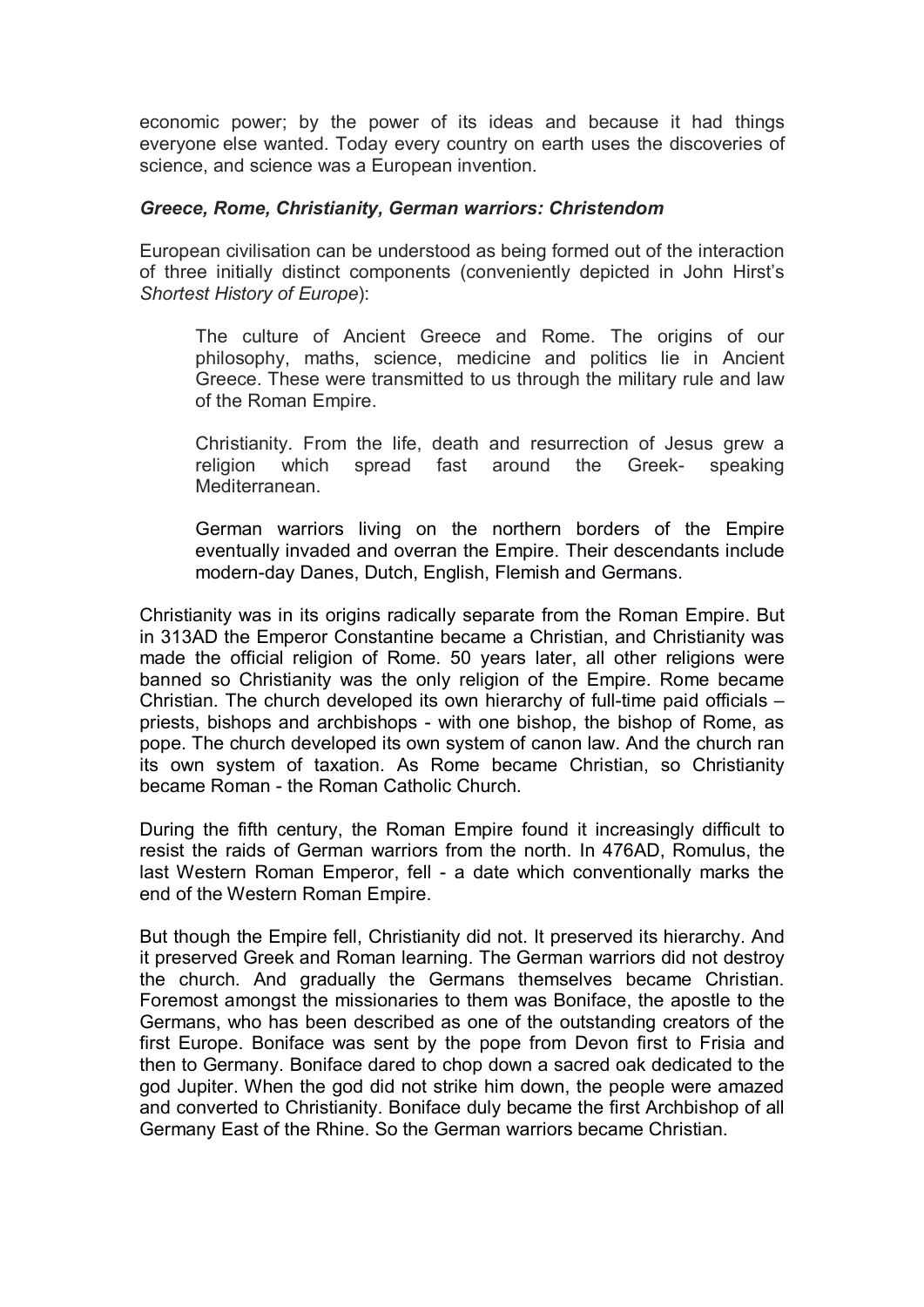economic power; by the power of its ideas and because it had things everyone else wanted. Today every country on earth uses the discoveries of science, and science was a European invention.

### *Greece, Rome, Christianity, German warriors: Christendom*

European civilisation can be understood as being formed out of the interaction of three initially distinct components (conveniently depicted in John Hirst's *Shortest History of Europe*):

The culture of Ancient Greece and Rome. The origins of our philosophy, maths, science, medicine and politics lie in Ancient Greece. These were transmitted to us through the military rule and law of the Roman Empire.

Christianity. From the life, death and resurrection of Jesus grew a Christianity. From the life, death and resurrection of Jesus grew a<br>religion which spread fast around the Greek- speaking Mediterranean.

German warriors living on the northern borders of the Empire eventually invaded and overran the Empire. Their descendants include modern-day Danes, Dutch, English, Flemish and Germans.

Christianity was in its origins radically separate from the Roman Empire. But in 313AD the Emperor Constantine became a Christian, and Christianity was made the official religion of Rome. 50 years later, all other religions were banned so Christianity was the only religion of the Empire. Rome became Christian. The church developed its own hierarchy of full-time paid officials – priests, bishops and archbishops - with one bishop, the bishop of Rome, as pope. The church developed its own system of canon law. And the church ran its own system of taxation. As Rome became Christian, so Christianity became Roman - the Roman Catholic Church.

During the fifth century, the Roman Empire found it increasingly difficult to resist the raids of German warriors from the north. In 476AD, Romulus, the last Western Roman Emperor, fell - a date which conventionally marks the end of the Western Roman Empire.

But though the Empire fell, Christianity did not. It preserved its hierarchy. And it preserved Greek and Roman learning. The German warriors did not destroy the church. And gradually the Germans themselves became Christian. Foremost amongst the missionaries to them was Boniface, the apostle to the Germans, who has been described as one of the outstanding creators of the first Europe. Boniface was sent by the pope from Devon first to Frisia and then to Germany. Boniface dared to chop down a sacred oak dedicated to the god Jupiter. When the god did not strike him down, the people were amazed and converted to Christianity. Boniface duly became the first Archbishop of all Germany East of the Rhine. So the German warriors became Christian.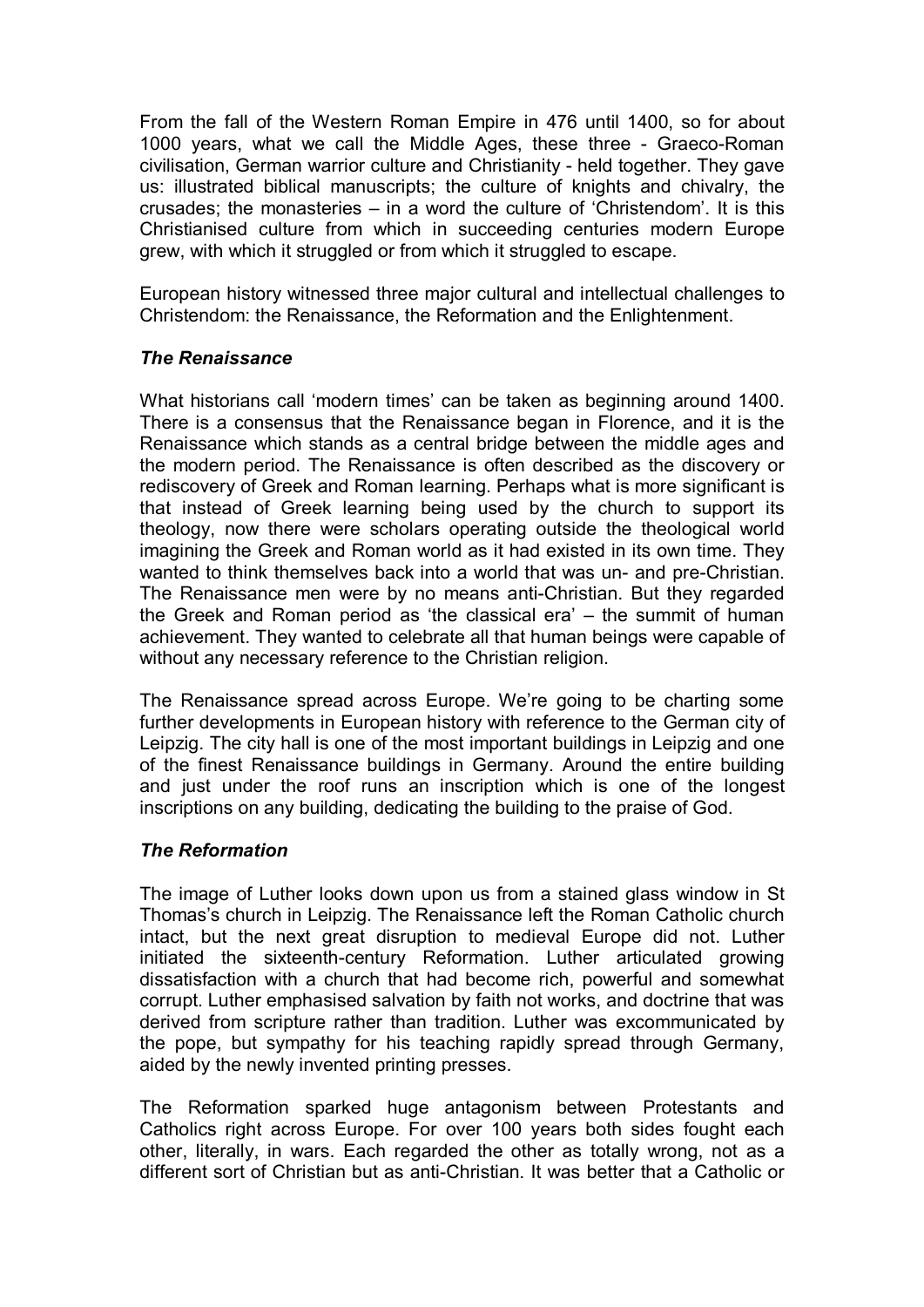From the fall of the Western Roman Empire in 476 until 1400, so for about 1000 years, what we call the Middle Ages, these three - Graeco-Roman civilisation, German warrior culture and Christianity - held together. They gave us: illustrated biblical manuscripts; the culture of knights and chivalry, the crusades; the monasteries – in a word the culture of 'Christendom'. It is this Christianised culture from which in succeeding centuries modern Europe grew, with which it struggled or from which it struggled to escape.

European history witnessed three major cultural and intellectual challenges to Christendom: the Renaissance, the Reformation and the Enlightenment.

# *The Renaissance*

What historians call 'modern times' can be taken as beginning around 1400. There is a consensus that the Renaissance began in Florence, and it is the Renaissance which stands as a central bridge between the middle ages and the modern period. The Renaissance is often described as the discovery or rediscovery of Greek and Roman learning. Perhaps what is more significant is that instead of Greek learning being used by the church to support its theology, now there were scholars operating outside the theological world imagining the Greek and Roman world as it had existed in its own time. They wanted to think themselves back into a world that was un- and pre-Christian. The Renaissance men were by no means anti-Christian. But they regarded the Greek and Roman period as 'the classical era' – the summit of human achievement. They wanted to celebrate all that human beings were capable of without any necessary reference to the Christian religion.

The Renaissance spread across Europe. We're going to be charting some further developments in European history with reference to the German city of Leipzig. The city hall is one of the most important buildings in Leipzig and one of the finest Renaissance buildings in Germany. Around the entire building and just under the roof runs an inscription which is one of the longest inscriptions on any building, dedicating the building to the praise of God.

# *The Reformation*

The image of Luther looks down upon us from a stained glass window in St Thomas's church in Leipzig. The Renaissance left the Roman Catholic church intact, but the next great disruption to medieval Europe did not. Luther initiated the sixteenth-century Reformation. Luther articulated growing dissatisfaction with a church that had become rich, powerful and somewhat corrupt. Luther emphasised salvation by faith not works, and doctrine that was derived from scripture rather than tradition. Luther was excommunicated by the pope, but sympathy for his teaching rapidly spread through Germany, aided by the newly invented printing presses.

The Reformation sparked huge antagonism between Protestants and Catholics right across Europe. For over 100 years both sides fought each other, literally, in wars. Each regarded the other as totally wrong, not as a different sort of Christian but as anti-Christian. It was better that a Catholic or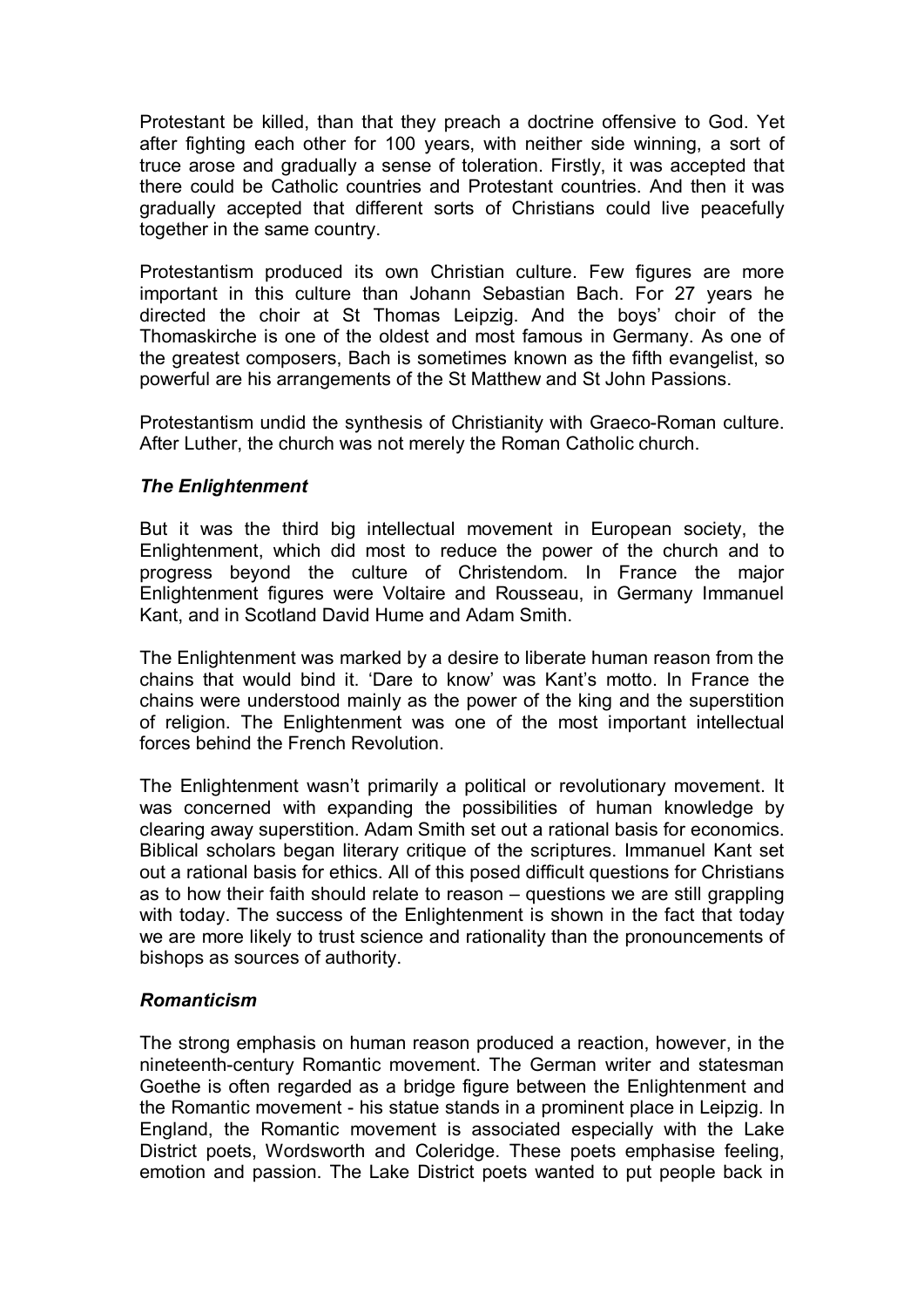Protestant be killed, than that they preach a doctrine offensive to God. Yet after fighting each other for 100 years, with neither side winning, a sort of truce arose and gradually a sense of toleration. Firstly, it was accepted that there could be Catholic countries and Protestant countries. And then it was gradually accepted that different sorts of Christians could live peacefully together in the same country.

Protestantism produced its own Christian culture. Few figures are more important in this culture than Johann Sebastian Bach. For 27 years he directed the choir at St Thomas Leipzig. And the boys' choir of the Thomaskirche is one of the oldest and most famous in Germany. As one of the greatest composers, Bach is sometimes known as the fifth evangelist, so powerful are his arrangements of the St Matthew and St John Passions.

Protestantism undid the synthesis of Christianity with Graeco-Roman culture. After Luther, the church was not merely the Roman Catholic church.

# *The Enlightenment*

But it was the third big intellectual movement in European society, the Enlightenment, which did most to reduce the power of the church and to progress beyond the culture of Christendom. In France the major Enlightenment figures were Voltaire and Rousseau, in Germany Immanuel Kant, and in Scotland David Hume and Adam Smith.

The Enlightenment was marked by a desire to liberate human reason from the chains that would bind it. 'Dare to know' was Kant's motto. In France the chains were understood mainly as the power of the king and the superstition of religion. The Enlightenment was one of the most important intellectual forces behind the French Revolution.

The Enlightenment wasn't primarily a political or revolutionary movement. It was concerned with expanding the possibilities of human knowledge by clearing away superstition. Adam Smith set out a rational basis for economics. Biblical scholars began literary critique of the scriptures. Immanuel Kant set out a rational basis for ethics. All of this posed difficult questions for Christians as to how their faith should relate to reason – questions we are still grappling with today. The success of the Enlightenment is shown in the fact that today we are more likely to trust science and rationality than the pronouncements of bishops as sources of authority.

# *Romanticism*

The strong emphasis on human reason produced a reaction, however, in the nineteenth-century Romantic movement. The German writer and statesman Goethe is often regarded as a bridge figure between the Enlightenment and the Romantic movement - his statue stands in a prominent place in Leipzig. In England, the Romantic movement is associated especially with the Lake District poets, Wordsworth and Coleridge. These poets emphasise feeling, emotion and passion. The Lake District poets wanted to put people back in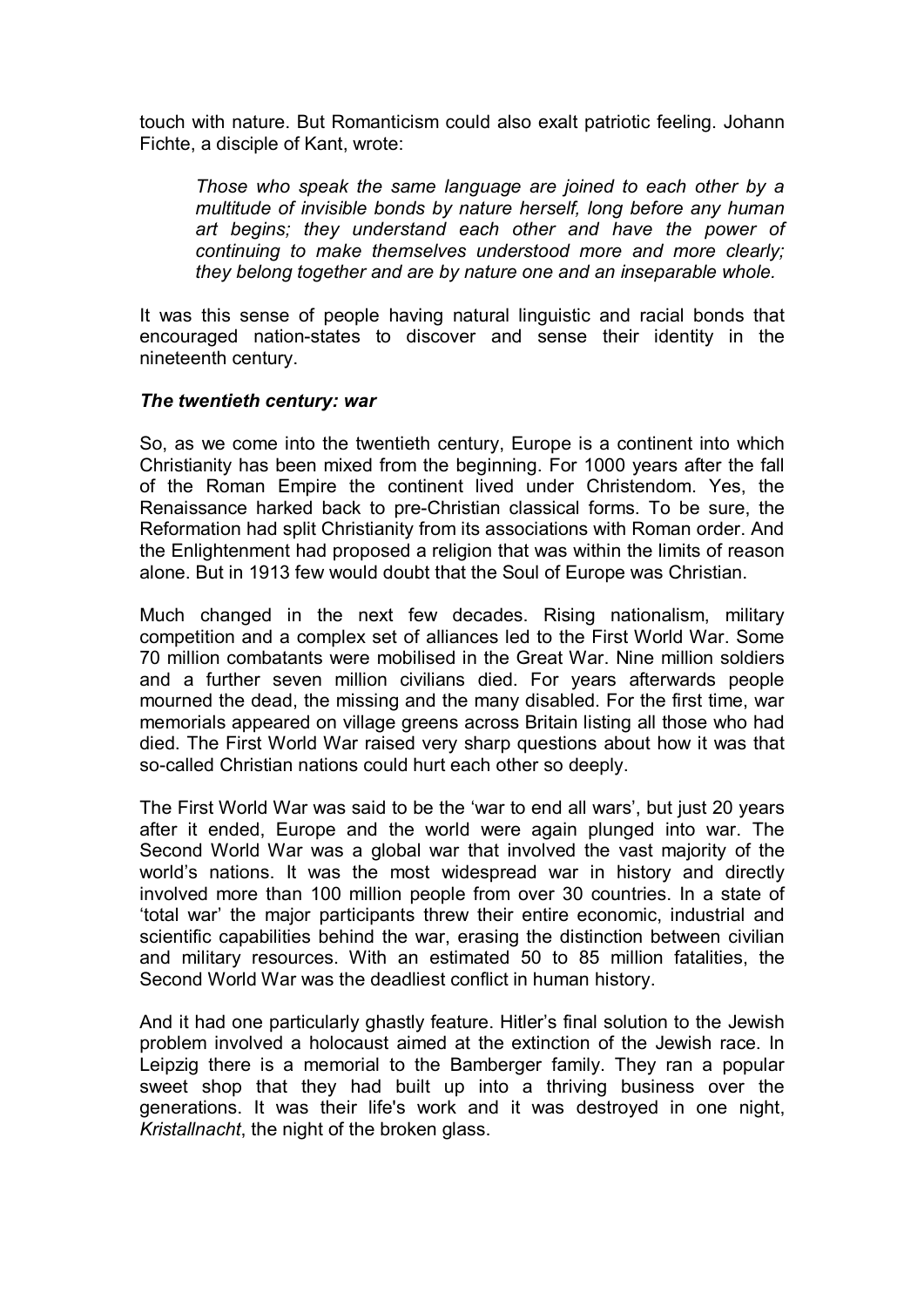touch with nature. But Romanticism could also exalt patriotic feeling. Johann Fichte, a disciple of Kant, wrote:

*Those who speak the same language are joined to each other by a multitude of invisible same language are joined to each other by a*<br>imultitude of invisible bonds by nature herself, long before any human<br>art, beging: they, understand, each other, and, have the newer of *art begins; they understand each other and have the power of continuing to make themselves understood more and more clearly; they belong together and are by nature one and an inseparable whole.*

It was this sense of people having natural linguistic and racial bonds that encouraged nation-states to discover and sense their identity in the nineteenth century.

### *The twentieth century: war*

So, as we come into the twentieth century, Europe is a continent into which Christianity has been mixed from the beginning. For 1000 years after the fall of the Roman Empire the continent lived under Christendom. Yes, the Renaissance harked back to pre-Christian classical forms. To be sure, the Reformation had split Christianity from its associations with Roman order. And the Enlightenment had proposed a religion that was within the limits of reason alone. But in 1913 few would doubt that the Soul of Europe was Christian.

Much changed in the next few decades. Rising nationalism, military competition and a complex set of alliances led to the First World War. Some 70 million combatants were mobilised in the Great War. Nine million soldiers and a further seven million civilians died. For years afterwards people mourned the dead, the missing and the many disabled. For the first time, war memorials appeared on village greens across Britain listing all those who had died. The First World War raised very sharp questions about how it was that so-called Christian nations could hurt each other so deeply.

The First World War was said to be the 'war to end all wars', but just 20 years after it ended, Europe and the world were again plunged into war. The Second World War was a global war that involved the vast majority of the world's nations. It was the most widespread war in history and directly involved more than 100 million people from over 30 countries. In a state of 'total war' the major participants threw their entire economic, industrial and scientific capabilities behind the war, erasing the distinction between civilian and military resources. With an estimated 50 to 85 million fatalities, the Second World War was the deadliest conflict in human history.

And it had one particularly ghastly feature. Hitler's final solution to the Jewish problem involved a holocaust aimed at the extinction of the Jewish race. In Leipzig there is a memorial to the Bamberger family. They ran a popular sweet shop that they had built up into a thriving business over the generations. It was their life's work and it was destroyed in one night, *Kristallnacht*, the night of the broken glass.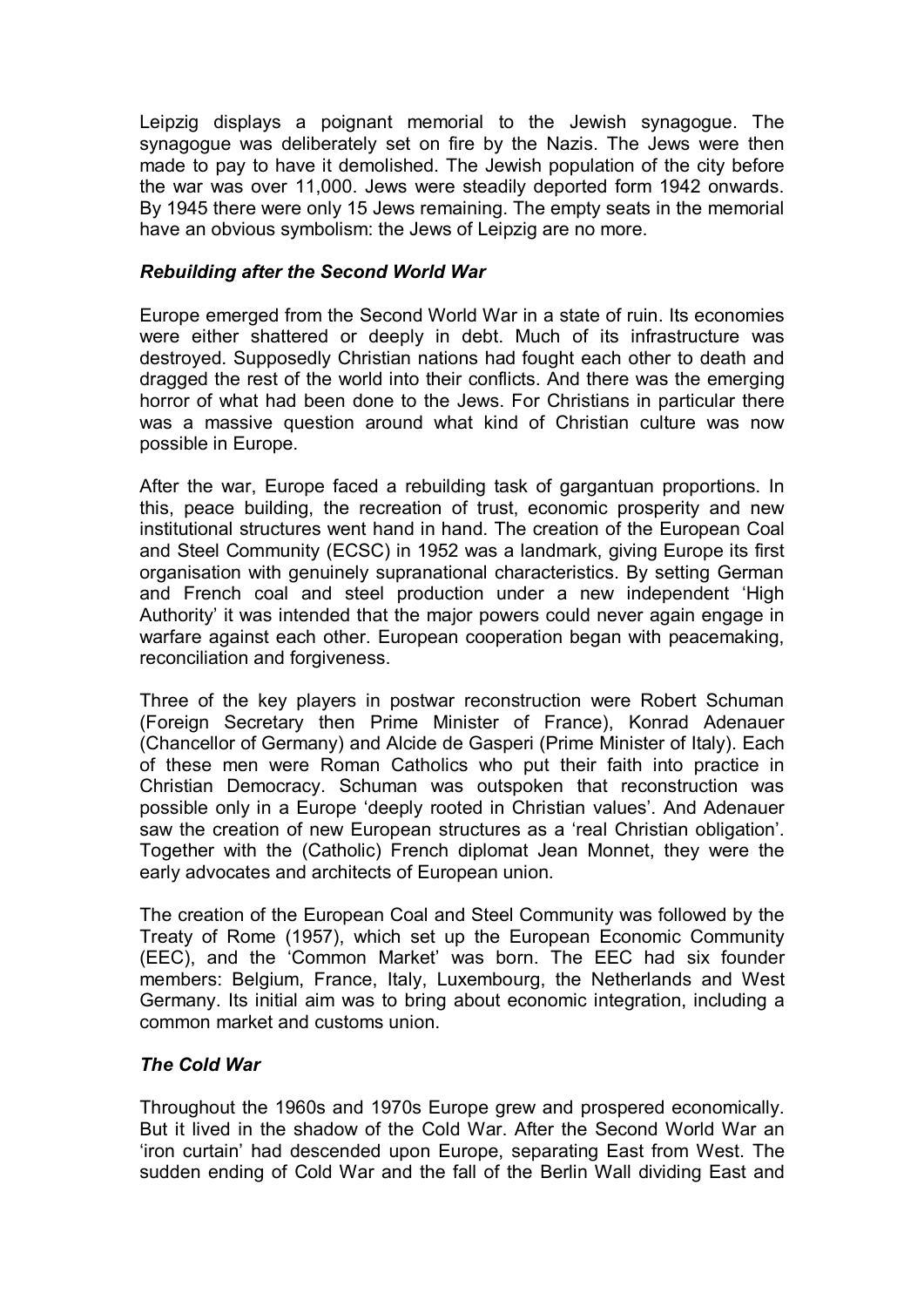Leipzig displays a poignant memorial to the Jewish synagogue. The synagogue was deliberately set on fire by the Nazis. The Jews were then made to pay to have it demolished. The Jewish population of the city before the war was over 11,000. Jews were steadily deported form 1942 onwards. By 1945 there were only 15 Jews remaining. The empty seats in the memorial have an obvious symbolism: the Jews of Leipzig are no more.

# *Rebuilding after the Second World War*

Europe emerged from the Second World War in a state of ruin. Its economies were either shattered or deeply in debt. Much of its infrastructure was destroyed. Supposedly Christian nations had fought each other to death and dragged the rest of the world into their conflicts. And there was the emerging horror of what had been done to the Jews. For Christians in particular there was a massive question around what kind of Christian culture was now possible in Europe.

After the war, Europe faced a rebuilding task of gargantuan proportions. In this, peace building, the recreation of trust, economic prosperity and new institutional structures went hand in hand. The creation of the European Coal and Steel Community (ECSC) in 1952 was a landmark, giving Europe its first organisation with genuinely supranational characteristics. By setting German and French coal and steel production under a new independent 'High Authority' it was intended that the major powers could never again engage in warfare against each other. European cooperation began with peacemaking, reconciliation and forgiveness.

Three of the key players in postwar reconstruction were Robert Schuman (Foreign Secretary then Prime Minister of France), Konrad Adenauer (Chancellor of Germany) and Alcide de Gasperi (Prime Minister of Italy). Each of these men were Roman Catholics who put their faith into practice in Christian Democracy. Schuman was outspoken that reconstruction was possible only in a Europe 'deeply rooted in Christian values'. And Adenauer saw the creation of new European structures as a 'real Christian obligation'. Together with the (Catholic) French diplomat Jean Monnet, they were the early advocates and architects of European union.

The creation of the European Coal and Steel Community was followed by the Treaty of Rome (1957), which set up the European Economic Community (EEC), and the 'Common Market' was born. The EEC had six founder members: Belgium, France, Italy, Luxembourg, the Netherlands and West Germany. Its initial aim was to bring about economic integration, including a common market and customs union.

# *The Cold War*

Throughout the 1960s and 1970s Europe grew and prospered economically. But it lived in the shadow of the Cold War. After the Second World War an 'iron curtain' had descended upon Europe, separating East from West. The sudden ending of Cold War and the fall of the Berlin Wall dividing East and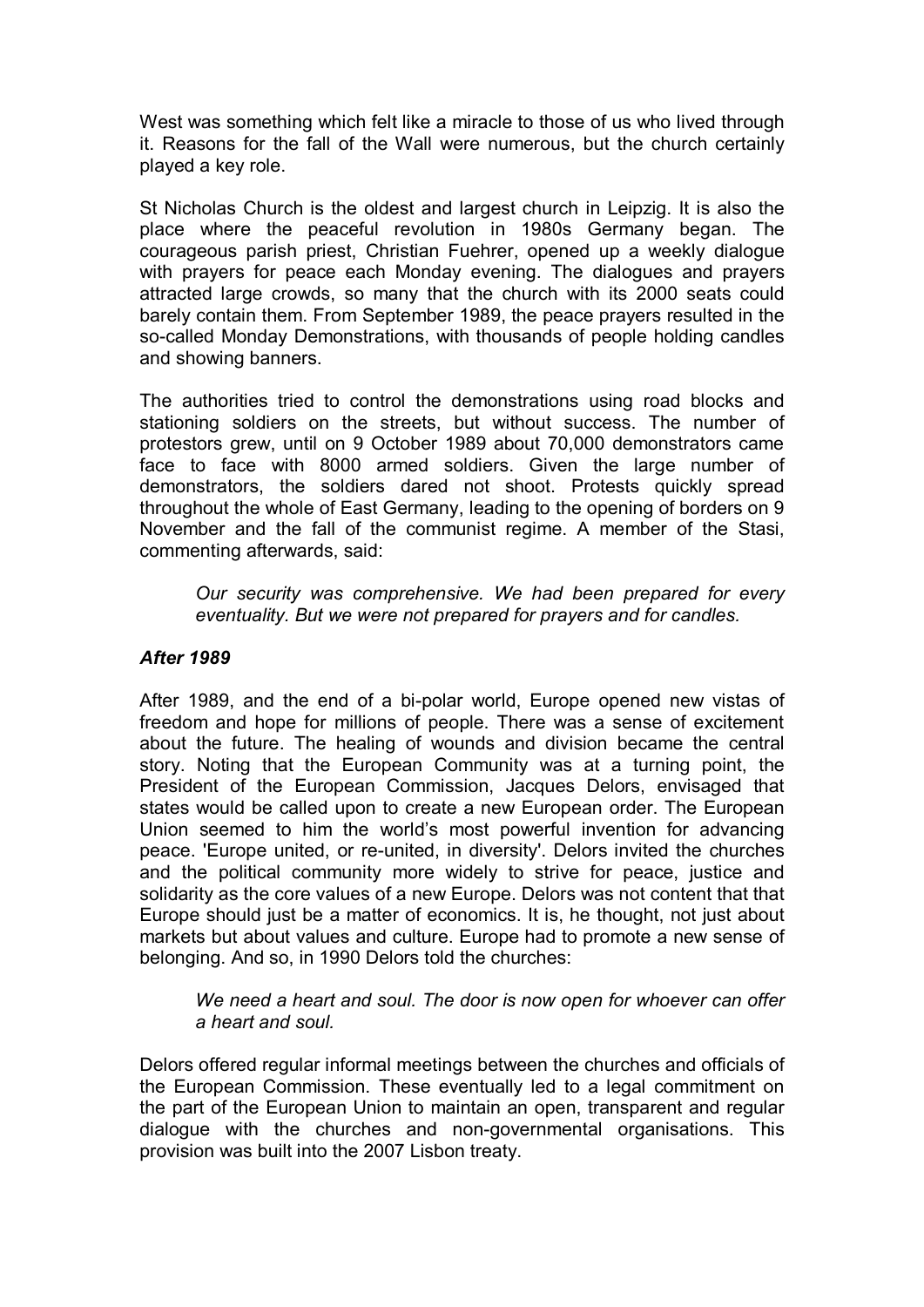West was something which felt like a miracle to those of us who lived through it. Reasons for the fall of the Wall were numerous, but the church certainly played a key role.

St Nicholas Church is the oldest and largest church in Leipzig. It is also the place where the peaceful revolution in 1980s Germany began. The courageous parish priest, Christian Fuehrer, opened up a weekly dialogue with prayers for peace each Monday evening. The dialogues and prayers attracted large crowds, so many that the church with its 2000 seats could barely contain them. From September 1989, the peace prayers resulted in the so-called Monday Demonstrations, with thousands of people holding candles and showing banners.

The authorities tried to control the demonstrations using road blocks and stationing soldiers on the streets, but without success. The number of protestors grew, until on 9 October 1989 about 70,000 demonstrators came face to face with 8000 armed soldiers. Given the large number of demonstrators, the soldiers dared not shoot. Protests quickly spread throughout the whole of East Germany, leading to the opening of borders on 9 November and the fall of the communist regime. A member of the Stasi, commenting afterwards, said:

*Our security was comprehensive. We had been prepared for every eventuality. But we were not prepared for prayers and for candles.*

# *After 1989*

After 1989, and the end of a bi-polar world, Europe opened new vistas of freedom and hope for millions of people. There was a sense of excitement about the future. The healing of wounds and division became the central story. Noting that the European Community was at a turning point, the President of the European Commission, Jacques Delors, envisaged that states would be called upon to create a new European order. The European Union seemed to him the world's most powerful invention for advancing peace. 'Europe united, or re-united, in diversity'. Delors invited the churches and the political community more widely to strive for peace, justice and solidarity as the core values of a new Europe. Delors was not content that that Europe should just be a matter of economics. It is, he thought, not just about markets but about values and culture. Europe had to promote a new sense of belonging. And so, in 1990 Delors told the churches:

*We need a heart and soul. The door is now open for whoever can offer a heart and soul.*

Delors offered regular informal meetings between the churches and officials of the European Commission. These eventually led to a legal commitment on the part of the European Union to maintain an open, transparent and regular dialogue with the churches and non-governmental organisations. This provision was built into the 2007 Lisbon treaty.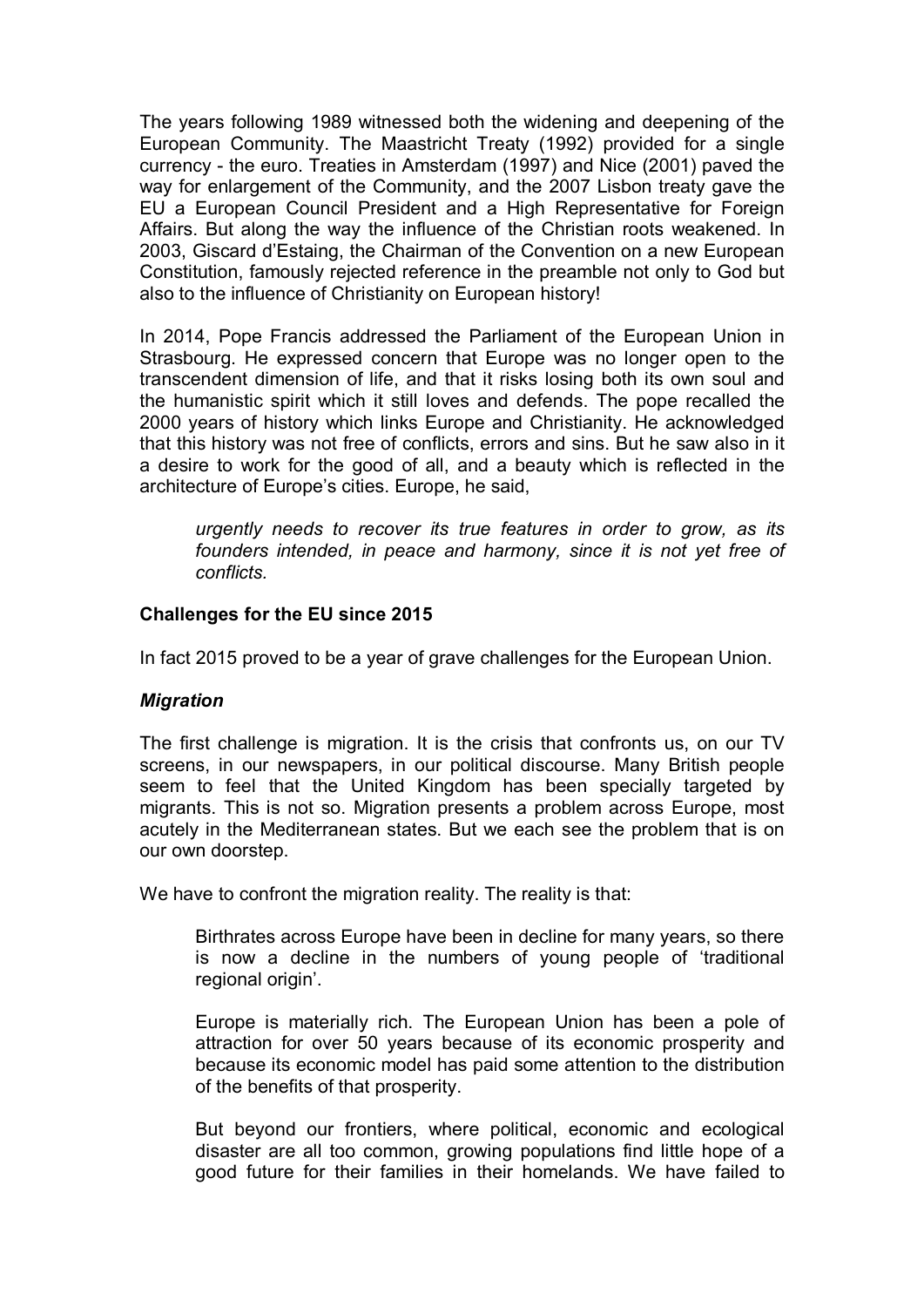The years following 1989 witnessed both the widening and deepening of the European Community. The Maastricht Treaty (1992) provided for a single currency - the euro. Treaties in Amsterdam (1997) and Nice (2001) paved the way for enlargement of the Community, and the 2007 Lisbon treaty gave the EU a European Council President and a High Representative for Foreign Affairs. But along the way the influence of the Christian roots weakened. In 2003, Giscard d'Estaing, the Chairman of the Convention on a new European Constitution, famously rejected reference in the preamble not only to God but also to the influence of Christianity on European history!

In 2014, Pope Francis addressed the Parliament of the European Union in Strasbourg. He expressed concern that Europe was no longer open to the transcendent dimension of life, and that it risks losing both its own soul and the humanistic spirit which it still loves and defends. The pope recalled the 2000 years of history which links Europe and Christianity. He acknowledged that this history was not free of conflicts, errors and sins. But he saw also in it a desire to work for the good of all, and a beauty which is reflected in the architecture of Europe's cities. Europe, he said,

*urgently needs to recover its true features in order to grow, as its founders intended, in peace and harmony, since it is not yet free of conflicts.*

# **Challenges for the EU since 2015**

In fact 2015 proved to be a year of grave challenges for the European Union.

# *Migration*

The first challenge is migration. It is the crisis that confronts us, on our TV screens, in our newspapers, in our political discourse. Many British people seem to feel that the United Kingdom has been specially targeted by migrants. This is not so. Migration presents a problem across Europe, most acutely in the Mediterranean states. But we each see the problem that is on our own doorstep.

We have to confront the migration reality. The reality is that:

Birthrates across Europe have been in decline for many years, so there is now a decline in the numbers of young people of 'traditional regional origin'.

Europe is materially rich. The European Union has been a pole of attraction for over 50 years because of its economic prosperity and of the benefits of that prosperity. because its economic model has paid some attention to the distribution

But beyond our frontiers, where political, economic and ecological disaster are all too common, growing populations find little hope of a good future for their families in their homelands. We have failed to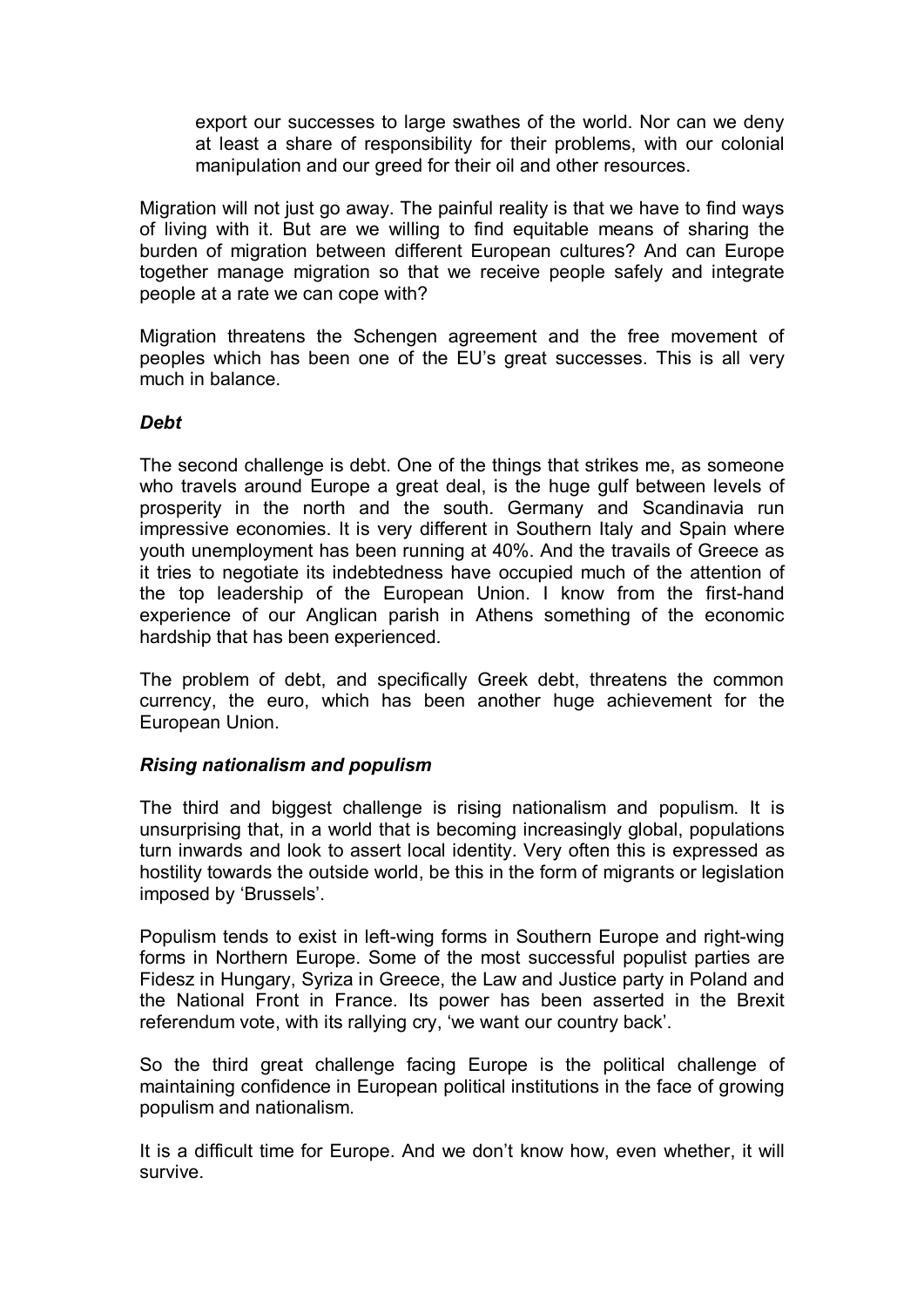export our successes to large swathes of the world. Nor can we deny at least a share of responsibility for their problems, with our colonial manipulation and our greed for their oil and other resources.

Migration will not just go away. The painful reality is that we have to find ways of living with it. But are we willing to find equitable means of sharing the burden of migration between different European cultures? And can Europe together manage migration so that we receive people safely and integrate people at a rate we can cope with?

Migration threatens the Schengen agreement and the free movement of peoples which has been one of the EU's great successes. This is all very much in balance.

### *Debt*

The second challenge is debt. One of the things that strikes me, as someone who travels around Europe a great deal, is the huge gulf between levels of prosperity in the north and the south. Germany and Scandinavia run impressive economies. It is very different in Southern Italy and Spain where youth unemployment has been running at 40%. And the travails of Greece as it tries to negotiate its indebtedness have occupied much of the attention of the top leadership of the European Union. I know from the first-hand experience of our Anglican parish in Athens something of the economic hardship that has been experienced.

The problem of debt, and specifically Greek debt, threatens the common currency, the euro, which has been another huge achievement for the European Union.

# *Rising nationalism and populism*

The third and biggest challenge is rising nationalism and populism. It is unsurprising that, in a world that is becoming increasingly global, populations turn inwards and look to assert local identity. Very often this is expressed as hostility towards the outside world, be this in the form of migrants or legislation imposed by 'Brussels'.

Populism tends to exist in left-wing forms in Southern Europe and right-wing forms in Northern Europe. Some of the most successful populist parties are Fidesz in Hungary, Syriza in Greece, the Law and Justice party in Poland and the National Front in France. Its power has been asserted in the Brexit referendum vote, with its rallying cry, 'we want our country back'.

So the third great challenge facing Europe is the political challenge of maintaining confidence in European political institutions in the face of growing populism and nationalism.

It is a difficult time for Europe. And we don't know how, even whether, it will survive.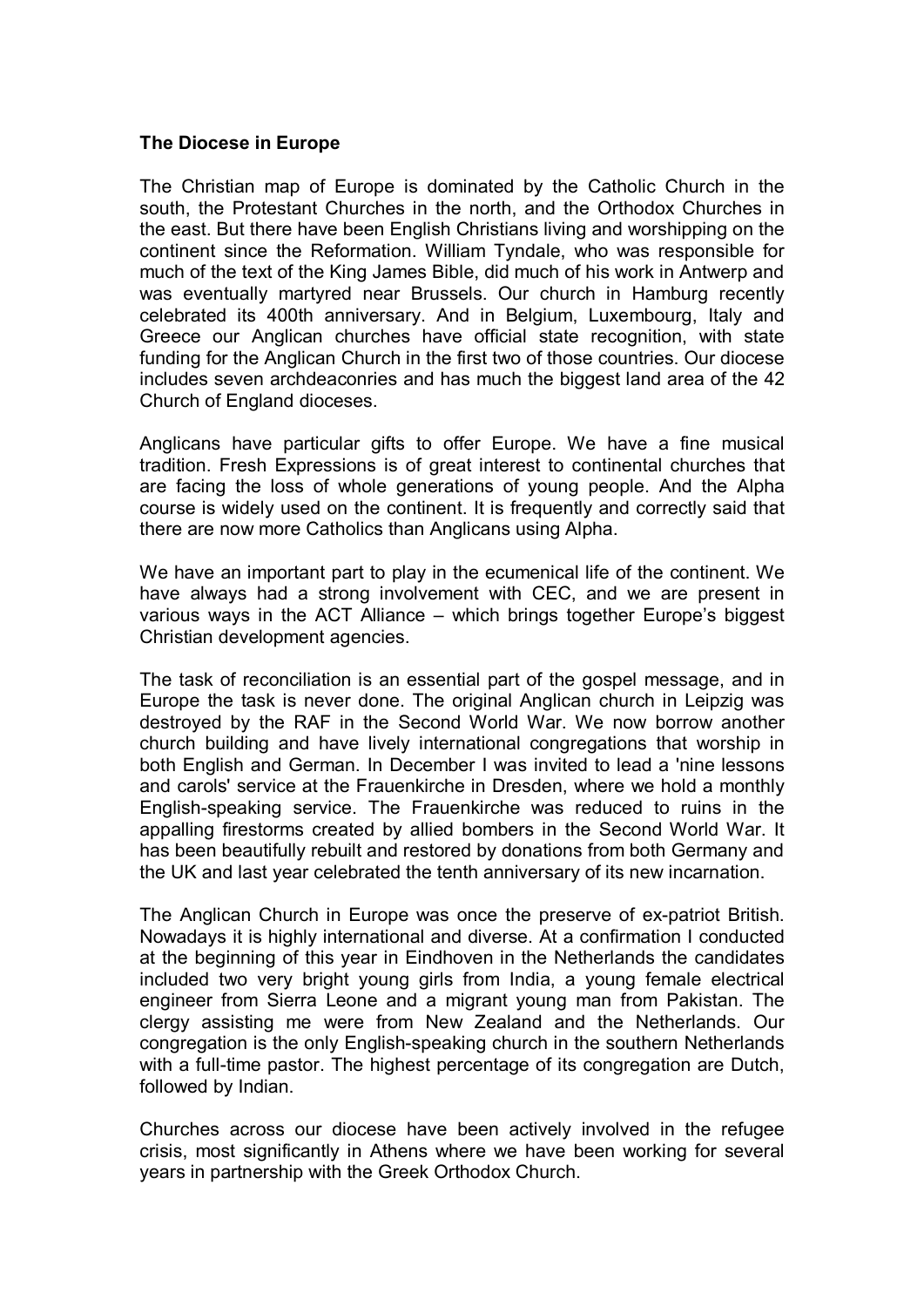#### **The Diocese in Europe**

The Christian map of Europe is dominated by the Catholic Church in the south, the Protestant Churches in the north, and the Orthodox Churches in the east. But there have been English Christians living and worshipping on the continent since the Reformation. William Tyndale, who was responsible for much of the text of the King James Bible, did much of his work in Antwerp and was eventually martyred near Brussels. Our church in Hamburg recently celebrated its 400th anniversary. And in Belgium, Luxembourg, Italy and Greece our Anglican churches have official state recognition, with state funding for the Anglican Church in the first two of those countries. Our diocese includes seven archdeaconries and has much the biggest land area of the 42 Church of England dioceses.

Anglicans have particular gifts to offer Europe. We have a fine musical tradition. Fresh Expressions is of great interest to continental churches that are facing the loss of whole generations of young people. And the Alpha course is widely used on the continent. It is frequently and correctly said that there are now more Catholics than Anglicans using Alpha.

We have an important part to play in the ecumenical life of the continent. We have always had a strong involvement with CEC, and we are present in various ways in the ACT Alliance – which brings together Europe's biggest Christian development agencies.

The task of reconciliation is an essential part of the gospel message, and in Europe the task is never done. The original Anglican church in Leipzig was destroyed by the RAF in the Second World War. We now borrow another church building and have lively international congregations that worship in both English and German. In December I was invited to lead a 'nine lessons and carols' service at the Frauenkirche in Dresden, where we hold a monthly English-speaking service. The Frauenkirche was reduced to ruins in the appalling firestorms created by allied bombers in the Second World War. It has been beautifully rebuilt and restored by donations from both Germany and the UK and last year celebrated the tenth anniversary of its new incarnation.

The Anglican Church in Europe was once the preserve of ex-patriot British. Nowadays it is highly international and diverse. At a confirmation I conducted at the beginning of this year in Eindhoven in the Netherlands the candidates included two very bright young girls from India, a young female electrical engineer from Sierra Leone and a migrant young man from Pakistan. The clergy assisting me were from New Zealand and the Netherlands. Our congregation is the only English-speaking church in the southern Netherlands with a full-time pastor. The highest percentage of its congregation are Dutch, followed by Indian.

Churches across our diocese have been actively involved in the refugee crisis, most significantly in Athens where we have been working for several years in partnership with the Greek Orthodox Church.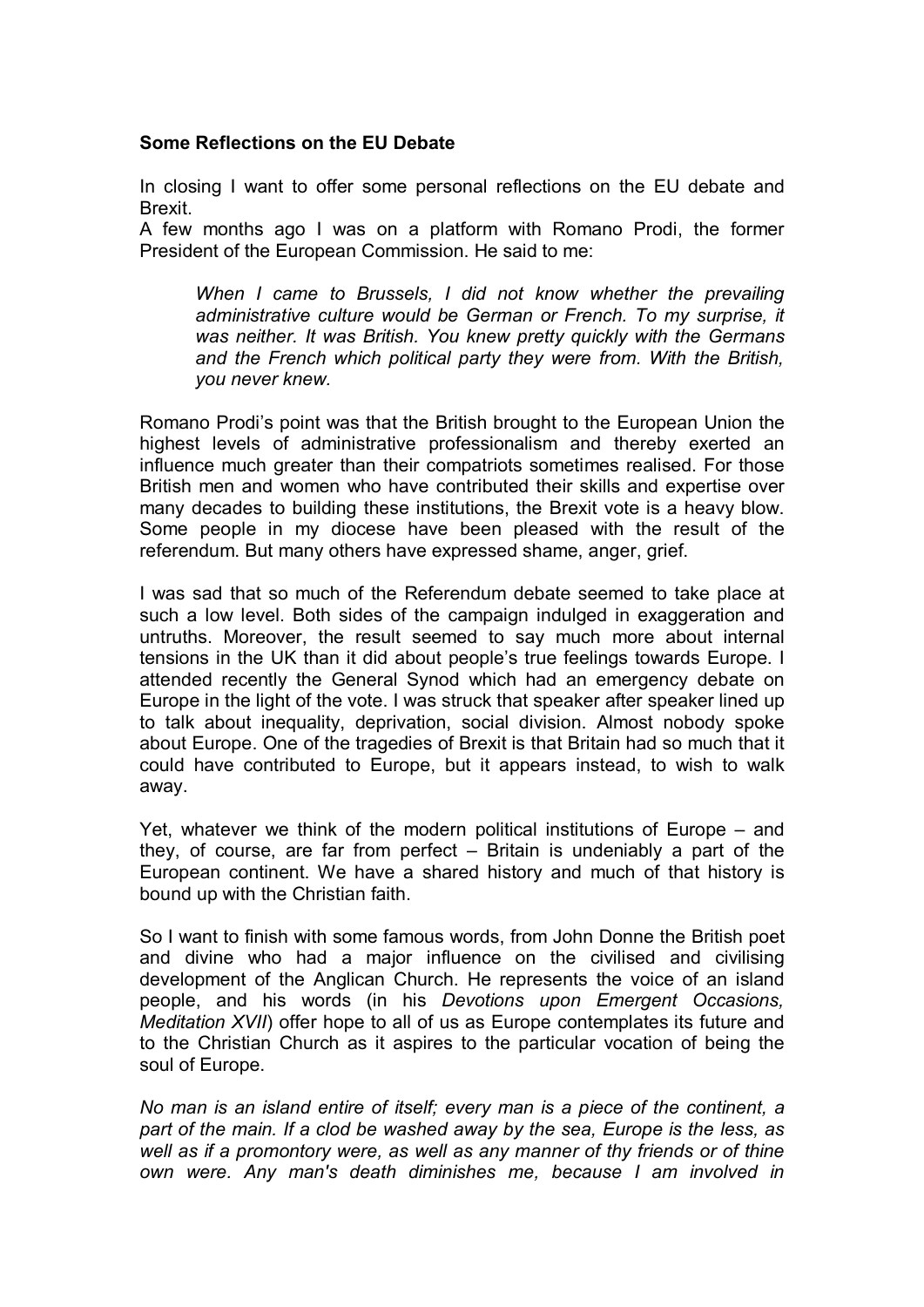### **Some Reflections on the EU Debate**

In closing I want to offer some personal reflections on the EU debate and Brexit.

A few months ago I was on a platform with Romano Prodi, the former President of the European Commission. He said to me:

*When I came to Brussels, I did not know whether the prevailing administrative culture would be German or French. To my surprise, it was neither. It was British. You knew pretty quickly with the Germans and the French which political party they were from. With the British, you never knew.*

Romano Prodi's point was that the British brought to the European Union the highest levels of administrative professionalism and thereby exerted an influence much greater than their compatriots sometimes realised. For those British men and women who have contributed their skills and expertise over many decades to building these institutions, the Brexit vote is a heavy blow. Some people in my diocese have been pleased with the result of the referendum. But many others have expressed shame, anger, grief.

I was sad that so much of the Referendum debate seemed to take place at such a low level. Both sides of the campaign indulged in exaggeration and untruths. Moreover, the result seemed to say much more about internal tensions in the UK than it did about people's true feelings towards Europe. I attended recently the General Synod which had an emergency debate on Europe in the light of the vote. I was struck that speaker after speaker lined up to talk about inequality, deprivation, social division. Almost nobody spoke about Europe. One of the tragedies of Brexit is that Britain had so much that it could have contributed to Europe, but it appears instead, to wish to walk away.

Yet, whatever we think of the modern political institutions of Europe – and Yet, whatever we think of the modern political institutions of Europe – and<br>they, of course, are far from perfect – Britain is undeniably a part of the<br>European continent We have a shared bistory and much of that bistory European continent. We have a shared history and much of that history is bound up with the Christian faith.

So I want to finish with some famous words, from John Donne the British poet and divine who had a major influence on the civilised and civilising development of the Anglican Church. He represents the voice of an island people, and his words (in his *Devotions upon Emergent Occasions, Meditation XVII*) offer hope to all of us as Europe contemplates its future and to the Christian Church as it aspires to the particular vocation of being the soul of Europe.

*No man is an island entire of itself; every man is a piece of the continent, a part of the main. If a clod be washed away by the sea, Europe is the less, as well as if a promontory were, as well as any manner of thy friends or of thine own were. Any man's death diminishes me, because I am involved in*